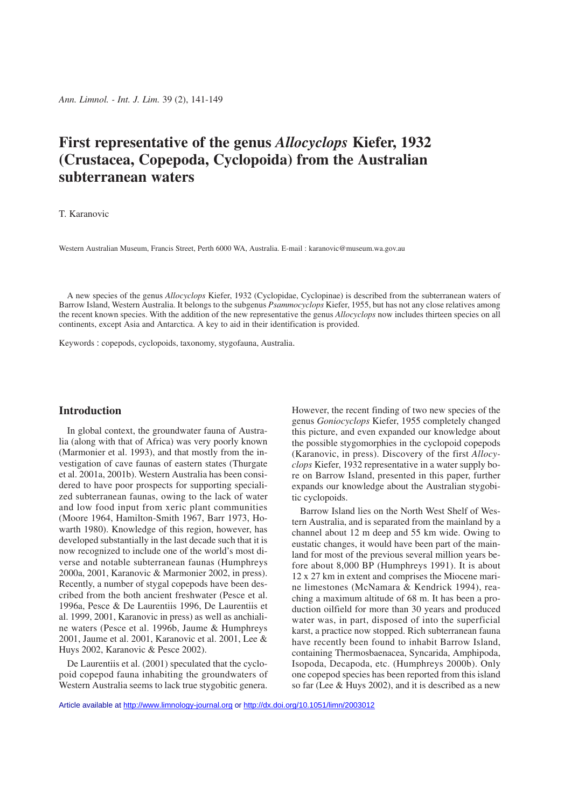# **First representative of the genus** *Allocyclops* **Kiefer, 1932 (Crustacea, Copepoda, Cyclopoida) from the Australian subterranean waters**

## T. Karanovic

Western Australian Museum, Francis Street, Perth 6000 WA, Australia. E-mail : karanovic@museum.wa.gov.au

A new species of the genus *Allocyclops* Kiefer, 1932 (Cyclopidae, Cyclopinae) is described from the subterranean waters of Barrow Island, Western Australia. It belongs to the subgenus *Psammocyclops* Kiefer, 1955, but has not any close relatives among the recent known species. With the addition of the new representative the genus *Allocyclops* now includes thirteen species on all continents, except Asia and Antarctica. A key to aid in their identification is provided.

Keywords : copepods, cyclopoids, taxonomy, stygofauna, Australia.

## **Introduction**

In global context, the groundwater fauna of Australia (along with that of Africa) was very poorly known (Marmonier et al. 1993), and that mostly from the investigation of cave faunas of eastern states (Thurgate et al. 2001a, 2001b). Western Australia has been considered to have poor prospects for supporting specialized subterranean faunas, owing to the lack of water and low food input from xeric plant communities (Moore 1964, Hamilton-Smith 1967, Barr 1973, Howarth 1980). Knowledge of this region, however, has developed substantially in the last decade such that it is now recognized to include one of the world's most diverse and notable subterranean faunas (Humphreys 2000a, 2001, Karanovic & Marmonier 2002, in press). Recently, a number of stygal copepods have been described from the both ancient freshwater (Pesce et al. 1996a, Pesce & De Laurentiis 1996, De Laurentiis et al. 1999, 2001, Karanovic in press) as well as anchialine waters (Pesce et al. 1996b, Jaume & Humphreys 2001, Jaume et al. 2001, Karanovic et al. 2001, Lee & Huys 2002, Karanovic & Pesce 2002).

De Laurentiis et al. (2001) speculated that the cyclopoid copepod fauna inhabiting the groundwaters of Western Australia seems to lack true stygobitic genera. However, the recent finding of two new species of the genus *Goniocyclops* Kiefer, 1955 completely changed this picture, and even expanded our knowledge about the possible stygomorphies in the cyclopoid copepods (Karanovic, in press). Discovery of the first *Allocyclops* Kiefer, 1932 representative in a water supply bore on Barrow Island, presented in this paper, further expands our knowledge about the Australian stygobitic cyclopoids.

Barrow Island lies on the North West Shelf of Western Australia, and is separated from the mainland by a channel about 12 m deep and 55 km wide. Owing to eustatic changes, it would have been part of the mainland for most of the previous several million years before about 8,000 BP (Humphreys 1991). It is about 12 x 27 km in extent and comprises the Miocene marine limestones (McNamara & Kendrick 1994), reaching a maximum altitude of 68 m. It has been a production oilfield for more than 30 years and produced water was, in part, disposed of into the superficial karst, a practice now stopped. Rich subterranean fauna have recently been found to inhabit Barrow Island, containing Thermosbaenacea, Syncarida, Amphipoda, Isopoda, Decapoda, etc. (Humphreys 2000b). Only one copepod species has been reported from this island so far (Lee & Huys 2002), and it is described as a new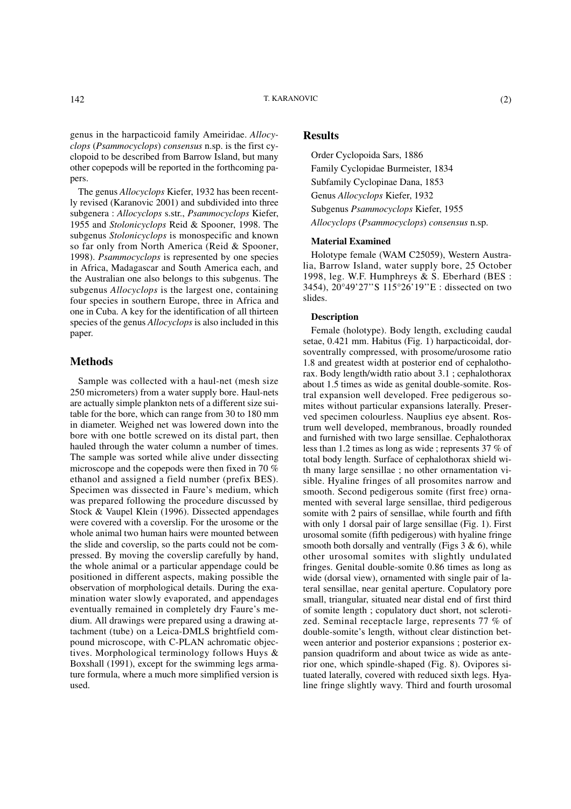genus in the harpacticoid family Ameiridae. *Allocyclops* (*Psammocyclops*) *consensus* n.sp. is the first cyclopoid to be described from Barrow Island, but many other copepods will be reported in the forthcoming papers.

The genus *Allocyclops* Kiefer, 1932 has been recently revised (Karanovic 2001) and subdivided into three subgenera : *Allocyclops* s.str., *Psammocyclops* Kiefer, 1955 and *Stolonicyclops* Reid & Spooner, 1998. The subgenus *Stolonicyclops* is monospecific and known so far only from North America (Reid & Spooner, 1998). *Psammocyclops* is represented by one species in Africa, Madagascar and South America each, and the Australian one also belongs to this subgenus. The subgenus *Allocyclops* is the largest one, containing four species in southern Europe, three in Africa and one in Cuba. A key for the identification of all thirteen species of the genus *Allocyclops* is also included in this paper.

## **Methods**

Sample was collected with a haul-net (mesh size 250 micrometers) from a water supply bore. Haul-nets are actually simple plankton nets of a different size suitable for the bore, which can range from 30 to 180 mm in diameter. Weighed net was lowered down into the bore with one bottle screwed on its distal part, then hauled through the water column a number of times. The sample was sorted while alive under dissecting microscope and the copepods were then fixed in 70 % ethanol and assigned a field number (prefix BES). Specimen was dissected in Faure's medium, which was prepared following the procedure discussed by Stock & Vaupel Klein (1996). Dissected appendages were covered with a coverslip. For the urosome or the whole animal two human hairs were mounted between the slide and coverslip, so the parts could not be compressed. By moving the coverslip carefully by hand, the whole animal or a particular appendage could be positioned in different aspects, making possible the observation of morphological details. During the examination water slowly evaporated, and appendages eventually remained in completely dry Faure's medium. All drawings were prepared using a drawing attachment (tube) on a Leica-DMLS brightfield compound microscope, with C-PLAN achromatic objectives. Morphological terminology follows Huys & Boxshall (1991), except for the swimming legs armature formula, where a much more simplified version is used.

## **Results**

Order Cyclopoida Sars, 1886 Family Cyclopidae Burmeister, 1834 Subfamily Cyclopinae Dana, 1853 Genus *Allocyclops* Kiefer, 1932 Subgenus *Psammocyclops* Kiefer, 1955 *Allocyclops* (*Psammocyclops*) *consensus* n.sp.

#### **Material Examined**

Holotype female (WAM C25059), Western Australia, Barrow Island, water supply bore, 25 October 1998, leg. W.F. Humphreys & S. Eberhard (BES : 3454), 20°49'27''S 115°26'19''E : dissected on two slides.

### **Description**

Female (holotype). Body length, excluding caudal setae, 0.421 mm. Habitus (Fig. 1) harpacticoidal, dorsoventrally compressed, with prosome/urosome ratio 1.8 and greatest width at posterior end of cephalothorax. Body length/width ratio about 3.1 ; cephalothorax about 1.5 times as wide as genital double-somite. Rostral expansion well developed. Free pedigerous somites without particular expansions laterally. Preserved specimen colourless. Nauplius eye absent. Rostrum well developed, membranous, broadly rounded and furnished with two large sensillae. Cephalothorax less than 1.2 times as long as wide ; represents 37 % of total body length. Surface of cephalothorax shield with many large sensillae ; no other ornamentation visible. Hyaline fringes of all prosomites narrow and smooth. Second pedigerous somite (first free) ornamented with several large sensillae, third pedigerous somite with 2 pairs of sensillae, while fourth and fifth with only 1 dorsal pair of large sensillae (Fig. 1). First urosomal somite (fifth pedigerous) with hyaline fringe smooth both dorsally and ventrally (Figs  $3 \& 6$ ), while other urosomal somites with slightly undulated fringes. Genital double-somite 0.86 times as long as wide (dorsal view), ornamented with single pair of lateral sensillae, near genital aperture. Copulatory pore small, triangular, situated near distal end of first third of somite length ; copulatory duct short, not sclerotized. Seminal receptacle large, represents 77 % of double-somite's length, without clear distinction between anterior and posterior expansions ; posterior expansion quadriform and about twice as wide as anterior one, which spindle-shaped (Fig. 8). Ovipores situated laterally, covered with reduced sixth legs. Hyaline fringe slightly wavy. Third and fourth urosomal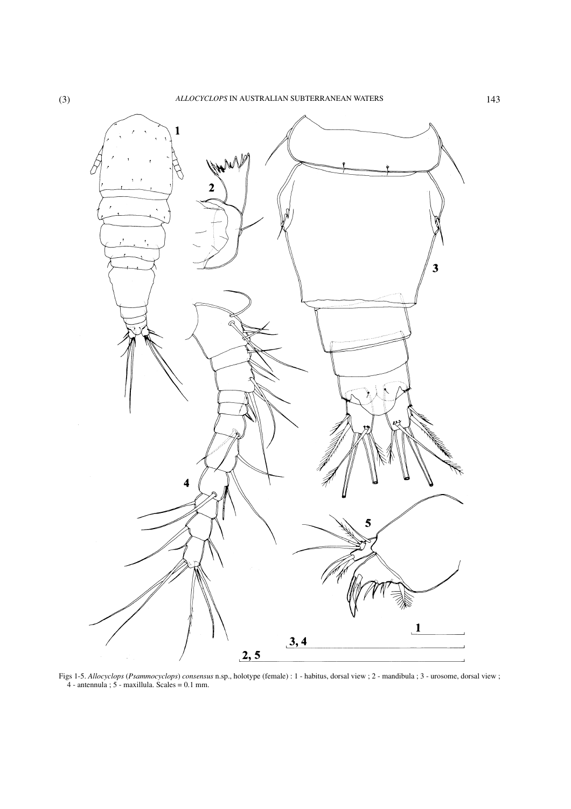

Figs 1-5. *Allocyclops* (*Psammocyclops*) *consensus* n.sp., holotype (female) : 1 - habitus, dorsal view ; 2 - mandibula ; 3 - urosome, dorsal view ; 4 - antennula ; 5 - maxillula. Scales = 0.1 mm.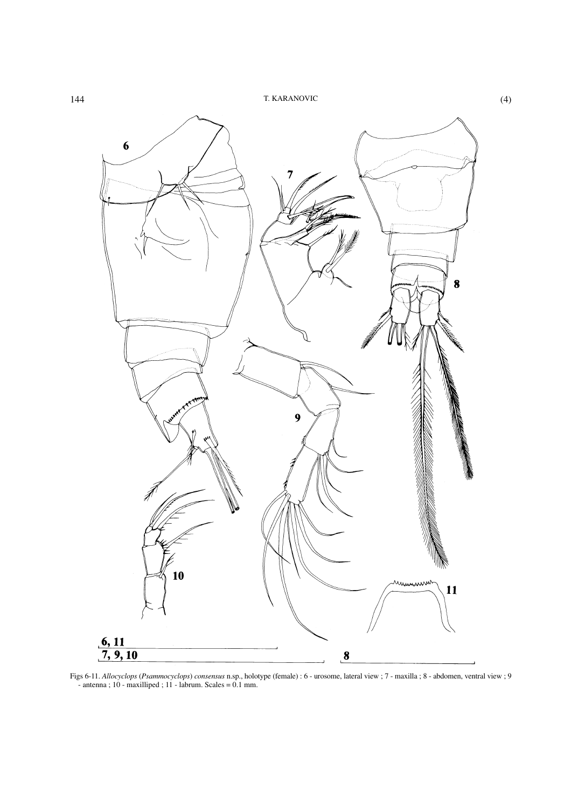

Figs 6-11. *Allocyclops* (*Psammocyclops*) *consensus* n.sp., holotype (female) : 6 - urosome, lateral view ; 7 - maxilla ; 8 - abdomen, ventral view ; 9 - antenna ; 10 - maxilliped ; 11 - labrum. Scales = 0.1 mm.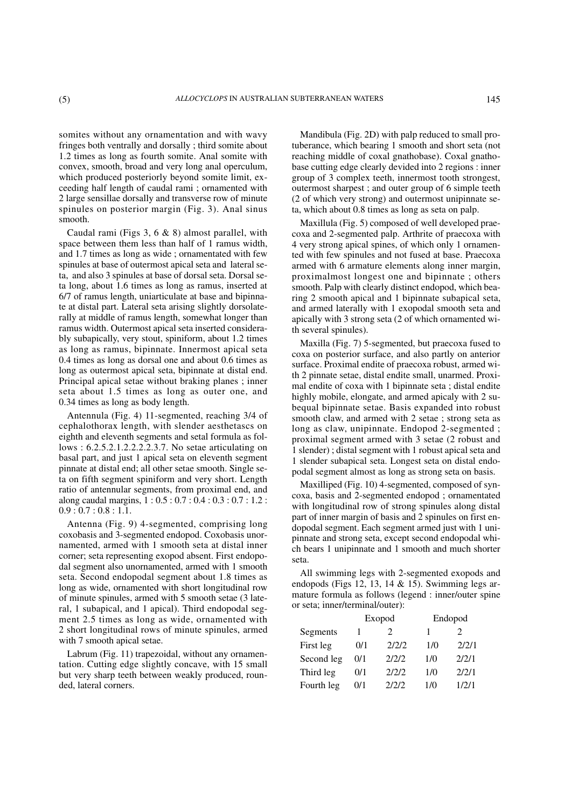somites without any ornamentation and with wavy fringes both ventrally and dorsally ; third somite about 1.2 times as long as fourth somite. Anal somite with convex, smooth, broad and very long anal operculum, which produced posteriorly beyond somite limit, exceeding half length of caudal rami ; ornamented with 2 large sensillae dorsally and transverse row of minute spinules on posterior margin (Fig. 3). Anal sinus smooth.

Caudal rami (Figs 3, 6 & 8) almost parallel, with space between them less than half of 1 ramus width, and 1.7 times as long as wide ; ornamentated with few spinules at base of outermost apical seta and lateral seta, and also 3 spinules at base of dorsal seta. Dorsal seta long, about 1.6 times as long as ramus, inserted at 6/7 of ramus length, uniarticulate at base and bipinnate at distal part. Lateral seta arising slightly dorsolaterally at middle of ramus length, somewhat longer than ramus width. Outermost apical seta inserted considerably subapically, very stout, spiniform, about 1.2 times as long as ramus, bipinnate. Innermost apical seta 0.4 times as long as dorsal one and about 0.6 times as long as outermost apical seta, bipinnate at distal end. Principal apical setae without braking planes ; inner seta about 1.5 times as long as outer one, and 0.34 times as long as body length.

Antennula (Fig. 4) 11-segmented, reaching 3/4 of cephalothorax length, with slender aesthetascs on eighth and eleventh segments and setal formula as follows : 6.2.5.2.1.2.2.2.2.3.7. No setae articulating on basal part, and just 1 apical seta on eleventh segment pinnate at distal end; all other setae smooth. Single seta on fifth segment spiniform and very short. Length ratio of antennular segments, from proximal end, and along caudal margins, 1 : 0.5 : 0.7 : 0.4 : 0.3 : 0.7 : 1.2 :  $0.9:0.7:0.8:1.1.$ 

Antenna (Fig. 9) 4-segmented, comprising long coxobasis and 3-segmented endopod. Coxobasis unornamented, armed with 1 smooth seta at distal inner corner; seta representing exopod absent. First endopodal segment also unornamented, armed with 1 smooth seta. Second endopodal segment about 1.8 times as long as wide, ornamented with short longitudinal row of minute spinules, armed with 5 smooth setae (3 lateral, 1 subapical, and 1 apical). Third endopodal segment 2.5 times as long as wide, ornamented with 2 short longitudinal rows of minute spinules, armed with 7 smooth apical setae.

Labrum (Fig. 11) trapezoidal, without any ornamentation. Cutting edge slightly concave, with 15 small but very sharp teeth between weakly produced, rounded, lateral corners.

Mandibula (Fig. 2D) with palp reduced to small protuberance, which bearing 1 smooth and short seta (not reaching middle of coxal gnathobase). Coxal gnathobase cutting edge clearly devided into 2 regions : inner group of 3 complex teeth, innermost tooth strongest, outermost sharpest ; and outer group of 6 simple teeth (2 of which very strong) and outermost unipinnate seta, which about 0.8 times as long as seta on palp.

Maxillula (Fig. 5) composed of well developed praecoxa and 2-segmented palp. Arthrite of praecoxa with 4 very strong apical spines, of which only 1 ornamented with few spinules and not fused at base. Praecoxa armed with 6 armature elements along inner margin, proximalmost longest one and bipinnate ; others smooth. Palp with clearly distinct endopod, which bearing 2 smooth apical and 1 bipinnate subapical seta, and armed laterally with 1 exopodal smooth seta and apically with 3 strong seta (2 of which ornamented with several spinules).

Maxilla (Fig. 7) 5-segmented, but praecoxa fused to coxa on posterior surface, and also partly on anterior surface. Proximal endite of praecoxa robust, armed with 2 pinnate setae, distal endite small, unarmed. Proximal endite of coxa with 1 bipinnate seta ; distal endite highly mobile, elongate, and armed apicaly with 2 subequal bipinnate setae. Basis expanded into robust smooth claw, and armed with 2 setae ; strong seta as long as claw, unipinnate. Endopod 2-segmented ; proximal segment armed with 3 setae (2 robust and 1 slender) ; distal segment with 1 robust apical seta and 1 slender subapical seta. Longest seta on distal endopodal segment almost as long as strong seta on basis.

Maxilliped (Fig. 10) 4-segmented, composed of syncoxa, basis and 2-segmented endopod ; ornamentated with longitudinal row of strong spinules along distal part of inner margin of basis and 2 spinules on first endopodal segment. Each segment armed just with 1 unipinnate and strong seta, except second endopodal which bears 1 unipinnate and 1 smooth and much shorter seta.

All swimming legs with 2-segmented exopods and endopods (Figs 12, 13, 14  $\&$  15). Swimming legs armature formula as follows (legend : inner/outer spine or seta; inner/terminal/outer):

|            | Exopod |                             | Endopod |       |
|------------|--------|-----------------------------|---------|-------|
| Segments   |        | $\mathcal{D}_{\mathcal{L}}$ |         | 2     |
| First leg  | 0/1    | 2/2/2                       | 1/0     | 2/2/1 |
| Second leg | 0/1    | 2/2/2                       | 1/0     | 2/2/1 |
| Third leg  | 0/1    | 2/2/2                       | 1/0     | 2/2/1 |
| Fourth leg | 0/1    | 2/2/2                       | 1/0     | 1/2/1 |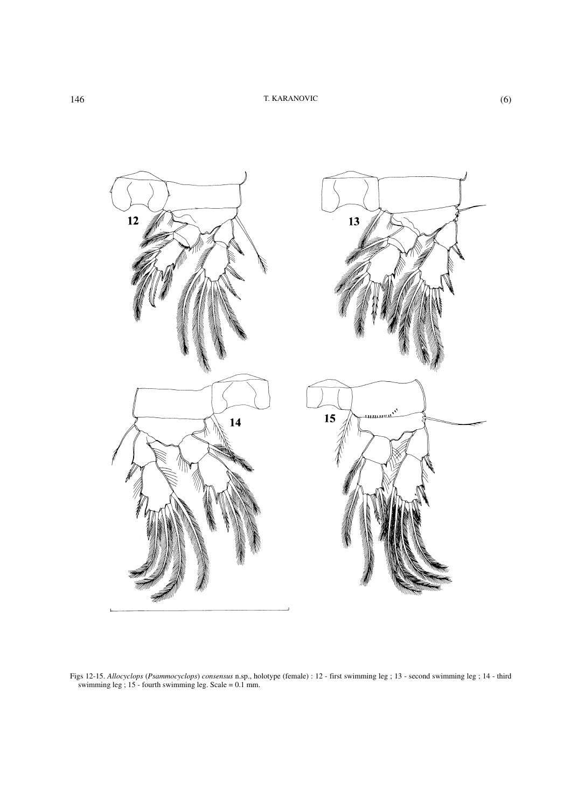

Figs 12-15. *Allocyclops* (*Psammocyclops*) *consensus* n.sp., holotype (female) : 12 - first swimming leg ; 13 - second swimming leg ; 14 - third swimming leg ; 15 - fourth swimming leg. Scale = 0.1 mm.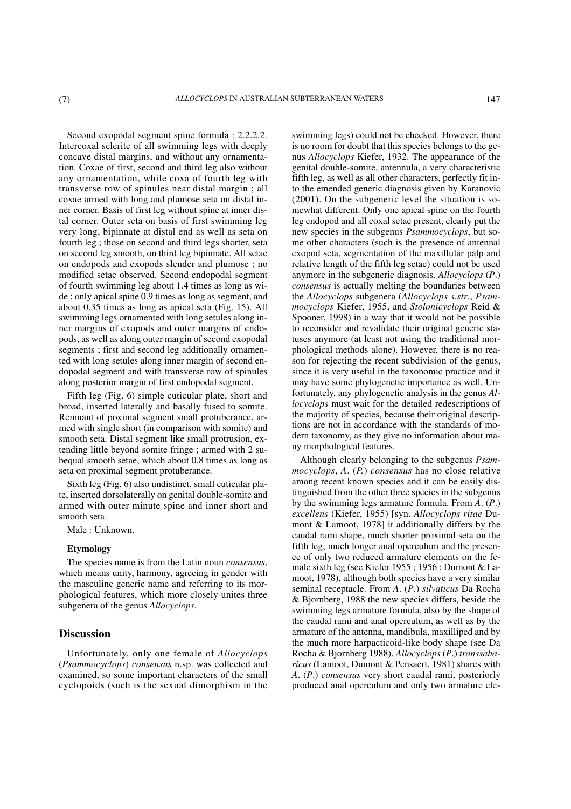Second exopodal segment spine formula : 2.2.2.2. Intercoxal sclerite of all swimming legs with deeply concave distal margins, and without any ornamentation. Coxae of first, second and third leg also without any ornamentation, while coxa of fourth leg with transverse row of spinules near distal margin ; all coxae armed with long and plumose seta on distal inner corner. Basis of first leg without spine at inner distal corner. Outer seta on basis of first swimming leg very long, bipinnate at distal end as well as seta on fourth leg ; those on second and third legs shorter, seta on second leg smooth, on third leg bipinnate. All setae on endopods and exopods slender and plumose ; no modified setae observed. Second endopodal segment of fourth swimming leg about 1.4 times as long as wide ; only apical spine 0.9 times as long as segment, and about 0.35 times as long as apical seta (Fig. 15). All swimming legs ornamented with long setules along inner margins of exopods and outer margins of endopods, as well as along outer margin of second exopodal segments ; first and second leg additionally ornamented with long setules along inner margin of second endopodal segment and with transverse row of spinules along posterior margin of first endopodal segment.

Fifth leg (Fig. 6) simple cuticular plate, short and broad, inserted laterally and basally fused to somite. Remnant of poximal segment small protuberance, armed with single short (in comparison with somite) and smooth seta. Distal segment like small protrusion, extending little beyond somite fringe ; armed with 2 subequal smooth setae, which about 0.8 times as long as seta on proximal segment protuberance.

Sixth leg (Fig. 6) also undistinct, small cuticular plate, inserted dorsolaterally on genital double-somite and armed with outer minute spine and inner short and smooth seta.

Male : Unknown.

#### **Etymology**

The species name is from the Latin noun *consensus*, which means unity, harmony, agreeing in gender with the masculine generic name and referring to its morphological features, which more closely unites three subgenera of the genus *Allocyclops*.

### **Discussion**

Unfortunately, only one female of *Allocyclops* (*Psammocyclops*) *consensus* n.sp. was collected and examined, so some important characters of the small cyclopoids (such is the sexual dimorphism in the swimming legs) could not be checked. However, there is no room for doubt that this species belongs to the genus *Allocyclops* Kiefer, 1932. The appearance of the genital double-somite, antennula, a very characteristic fifth leg, as well as all other characters, perfectly fit into the emended generic diagnosis given by Karanovic (2001). On the subgeneric level the situation is somewhat different. Only one apical spine on the fourth leg endopod and all coxal setae present, clearly put the new species in the subgenus *Psammocyclops*, but some other characters (such is the presence of antennal exopod seta, segmentation of the maxillular palp and relative length of the fifth leg setae) could not be used anymore in the subgeneric diagnosis. *Allocyclops* (*P*.) *consensus* is actually melting the boundaries between the *Allocyclops* subgenera (*Allocyclops s.str*., *Psammocyclops* Kiefer, 1955, and *Stolonicyclops* Reid & Spooner, 1998) in a way that it would not be possible to reconsider and revalidate their original generic statuses anymore (at least not using the traditional morphological methods alone). However, there is no reason for rejecting the recent subdivision of the genus, since it is very useful in the taxonomic practice and it may have some phylogenetic importance as well. Unfortunately, any phylogenetic analysis in the genus *Allocyclops* must wait for the detailed redescriptions of the majority of species, because their original descriptions are not in accordance with the standards of modern taxonomy, as they give no information about many morphological features.

Although clearly belonging to the subgenus *Psammocyclops*, *A*. (*P.*) *consensus* has no close relative among recent known species and it can be easily distinguished from the other three species in the subgenus by the swimming legs armature formula. From *A*. (*P*.) *excellens* (Kiefer, 1955) [syn. *Allocyclops ritae* Dumont & Lamoot, 1978] it additionally differs by the caudal rami shape, much shorter proximal seta on the fifth leg, much longer anal operculum and the presence of only two reduced armature elements on the female sixth leg (see Kiefer 1955 ; 1956 ; Dumont & Lamoot, 1978), although both species have a very similar seminal receptacle. From *A*. (*P*.) *silvaticus* Da Rocha & Bjornberg, 1988 the new species differs, beside the swimming legs armature formula, also by the shape of the caudal rami and anal operculum, as well as by the armature of the antenna, mandibula, maxilliped and by the much more harpacticoid-like body shape (see Da Rocha & Bjornberg 1988). *Allocyclops* (*P*.) *transsaharicus* (Lamoot, Dumont & Pensaert, 1981) shares with *A*. (*P*.) *consensus* very short caudal rami, posteriorly produced anal operculum and only two armature ele-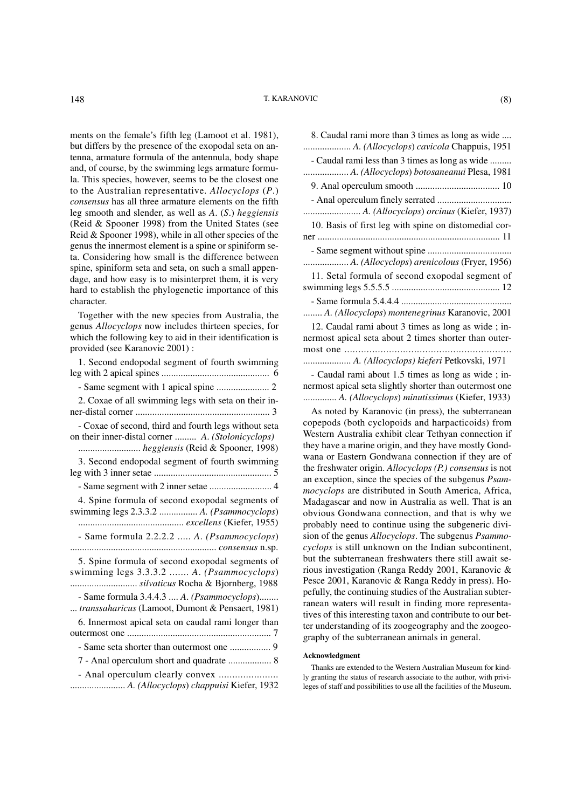#### 148 T. KARANOVIC (8)

ments on the female's fifth leg (Lamoot et al. 1981), but differs by the presence of the exopodal seta on antenna, armature formula of the antennula, body shape and, of course, by the swimming legs armature formula. This species, however, seems to be the closest one to the Australian representative. *Allocyclops* (*P*.) *consensus* has all three armature elements on the fifth leg smooth and slender, as well as *A*. (*S*.) *heggiensis* (Reid & Spooner 1998) from the United States (see Reid & Spooner 1998), while in all other species of the genus the innermost element is a spine or spiniform seta. Considering how small is the difference between spine, spiniform seta and seta, on such a small appendage, and how easy is to misinterpret them, it is very hard to establish the phylogenetic importance of this character.

Together with the new species from Australia, the genus *Allocyclops* now includes thirteen species, for which the following key to aid in their identification is provided (see Karanovic 2001) :

| 1. Second endopodal segment of fourth swimming                                                                                     |
|------------------------------------------------------------------------------------------------------------------------------------|
|                                                                                                                                    |
| 2. Coxae of all swimming legs with seta on their in-                                                                               |
| - Coxae of second, third and fourth legs without seta<br>on their inner-distal corner  A. (Stolonicyclops)                         |
| 3. Second endopodal segment of fourth swimming                                                                                     |
|                                                                                                                                    |
| 4. Spine formula of second exopodal segments of<br>swimming legs 2.3.3.2  A. (Psammocyclops)                                       |
| - Same formula 2.2.2.2  A. (Psammocyclops)                                                                                         |
| 5. Spine formula of second exopodal segments of<br>swimming legs 3.3.3.2  A. (Psammocyclops)<br>silvaticus Rocha & Bjornberg, 1988 |
| - Same formula 3.4.4.3  A. (Psammocyclops)<br>transsaharicus (Lamoot, Dumont & Pensaert, 1981)                                     |
| 6. Innermost apical seta on caudal rami longer than                                                                                |
|                                                                                                                                    |
| 7 - Anal operculum short and quadrate  8                                                                                           |
| A. (Allocyclops) chappuisi Kiefer, 1932                                                                                            |

| 8. Caudal rami more than 3 times as long as wide<br>A. (Allocyclops) cavicola Chappuis, 1951 |
|----------------------------------------------------------------------------------------------|
| - Caudal rami less than 3 times as long as wide<br>A. (Allocyclops) botosaneanui Plesa, 1981 |
|                                                                                              |
|                                                                                              |
| 10. Basis of first leg with spine on distomedial cor-                                        |
|                                                                                              |
|                                                                                              |
|                                                                                              |
| 11. Setal formula of second exopodal segment of                                              |
|                                                                                              |
| A. (Allocyclops) montenegrinus Karanovic, 2001                                               |
| 12. Caudal rami about 3 times as long as wide; in-                                           |
| nermost apical seta about 2 times shorter than outer-                                        |
|                                                                                              |
| A. (Allocyclops) kieferi Petkovski, 1971                                                     |

- Caudal rami about 1.5 times as long as wide ; innermost apical seta slightly shorter than outermost one .............. *A. (Allocyclops*) *minutissimus* (Kiefer, 1933)

As noted by Karanovic (in press), the subterranean copepods (both cyclopoids and harpacticoids) from Western Australia exhibit clear Tethyan connection if they have a marine origin, and they have mostly Gondwana or Eastern Gondwana connection if they are of the freshwater origin. *Allocyclops (P.) consensus* is not an exception, since the species of the subgenus *Psammocyclops* are distributed in South America, Africa, Madagascar and now in Australia as well. That is an obvious Gondwana connection, and that is why we probably need to continue using the subgeneric division of the genus *Allocyclops*. The subgenus *Psammocyclops* is still unknown on the Indian subcontinent, but the subterranean freshwaters there still await serious investigation (Ranga Reddy 2001, Karanovic & Pesce 2001, Karanovic & Ranga Reddy in press). Hopefully, the continuing studies of the Australian subterranean waters will result in finding more representatives of this interesting taxon and contribute to our better understanding of its zoogeography and the zoogeography of the subterranean animals in general.

#### **Acknowledgment**

Thanks are extended to the Western Australian Museum for kindly granting the status of research associate to the author, with privileges of staff and possibilities to use all the facilities of the Museum.